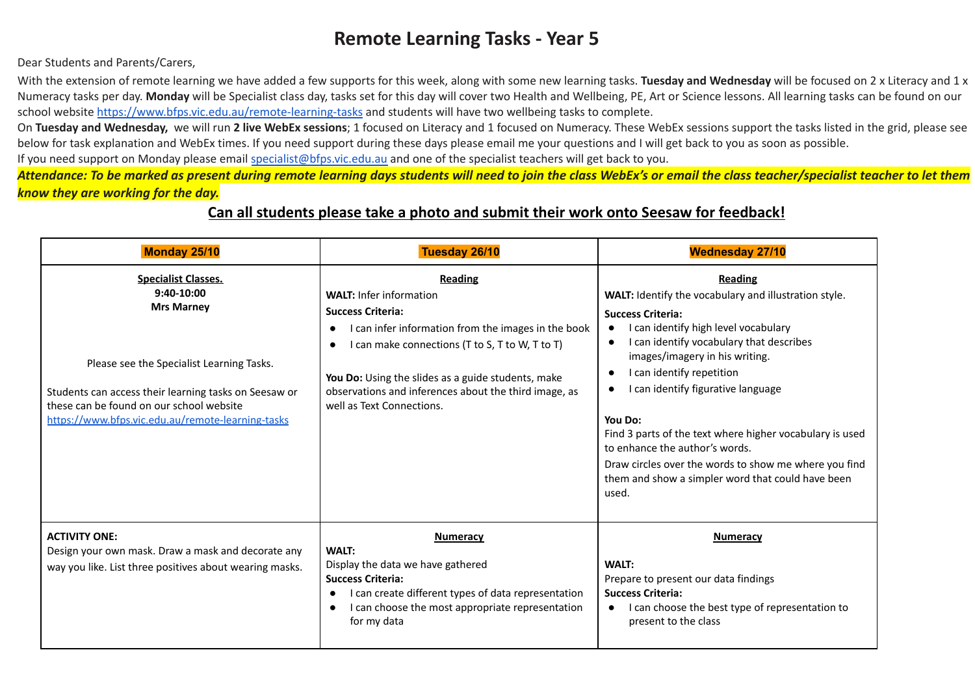## **Remote Learning Tasks - Year 5**

Dear Students and Parents/Carers,

With the extension of remote learning we have added a few supports for this week, along with some new learning tasks. **Tuesday and Wednesday** will be focused on 2 x Literacy and 1 x Numeracy tasks per day. **Monday** will be Specialist class day, tasks set for this day will cover two Health and Wellbeing, PE, Art or Science lessons. All learning tasks can be found on our school website <https://www.bfps.vic.edu.au/remote-learning-tasks> and students will have two wellbeing tasks to complete.

On Tuesday and Wednesday, we will run 2 live WebEx sessions; 1 focused on Literacy and 1 focused on Numeracy. These WebEx sessions support the tasks listed in the grid, please see below for task explanation and WebEx times. If you need support during these days please email me your questions and I will get back to you as soon as possible.

If you need support on Monday please email [specialist@bfps.vic.edu.au](mailto:specialist@bfps.vic.edu.au) and one of the specialist teachers will get back to you.

*Attendance: To be marked as present during remote learning days students will need to join the class WebEx's or email the class teacher/specialist teacher to let them know they are working for the day.*

## **Can all students please take a photo and submit their work onto Seesaw for feedback!**

| Monday 25/10                                                                                                                                                                                                                                                           | Tuesday 26/10                                                                                                                                                                                                                                                                                                                      | <b>Wednesday 27/10</b>                                                                                                                                                                                                                                                                                                                                                                                                                                                                                                |
|------------------------------------------------------------------------------------------------------------------------------------------------------------------------------------------------------------------------------------------------------------------------|------------------------------------------------------------------------------------------------------------------------------------------------------------------------------------------------------------------------------------------------------------------------------------------------------------------------------------|-----------------------------------------------------------------------------------------------------------------------------------------------------------------------------------------------------------------------------------------------------------------------------------------------------------------------------------------------------------------------------------------------------------------------------------------------------------------------------------------------------------------------|
| <b>Specialist Classes.</b><br>$9:40-10:00$<br><b>Mrs Marney</b><br>Please see the Specialist Learning Tasks.<br>Students can access their learning tasks on Seesaw or<br>these can be found on our school website<br>https://www.bfps.vic.edu.au/remote-learning-tasks | <b>Reading</b><br><b>WALT: Infer information</b><br><b>Success Criteria:</b><br>I can infer information from the images in the book<br>I can make connections (T to S, T to W, T to T)<br>You Do: Using the slides as a guide students, make<br>observations and inferences about the third image, as<br>well as Text Connections. | Reading<br>WALT: Identify the vocabulary and illustration style.<br><b>Success Criteria:</b><br>I can identify high level vocabulary<br>I can identify vocabulary that describes<br>images/imagery in his writing.<br>I can identify repetition<br>I can identify figurative language<br>You Do:<br>Find 3 parts of the text where higher vocabulary is used<br>to enhance the author's words.<br>Draw circles over the words to show me where you find<br>them and show a simpler word that could have been<br>used. |
| <b>ACTIVITY ONE:</b><br>Design your own mask. Draw a mask and decorate any<br>way you like. List three positives about wearing masks.                                                                                                                                  | <b>Numeracy</b><br><b>WALT:</b><br>Display the data we have gathered<br><b>Success Criteria:</b><br>I can create different types of data representation<br>I can choose the most appropriate representation<br>$\bullet$<br>for my data                                                                                            | <b>Numeracy</b><br><b>WALT:</b><br>Prepare to present our data findings<br><b>Success Criteria:</b><br>I can choose the best type of representation to<br>present to the class                                                                                                                                                                                                                                                                                                                                        |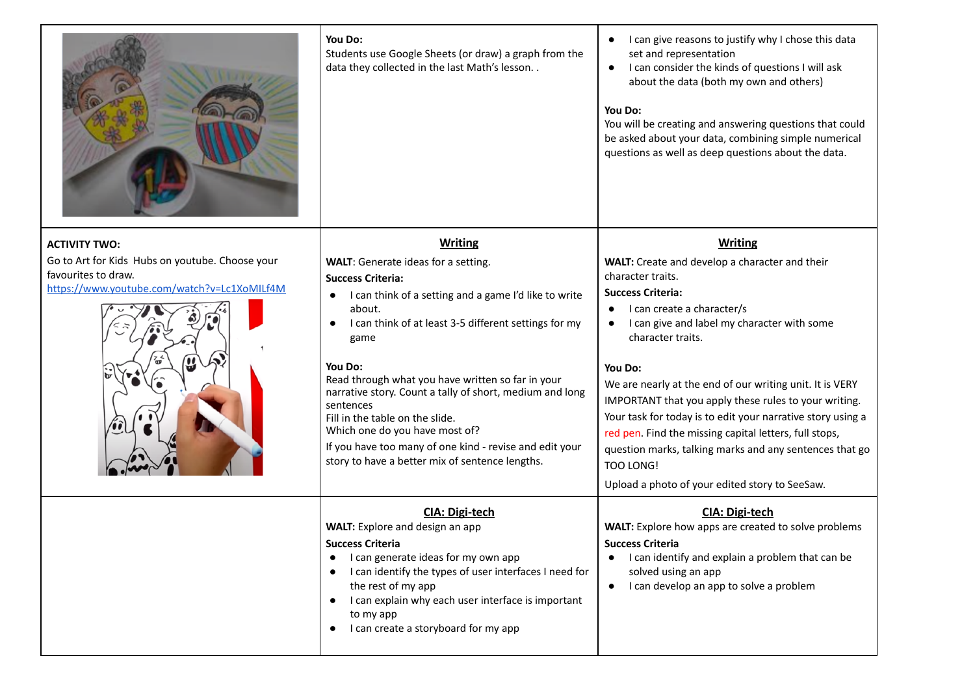|                                                                                                                       | You Do:<br>Students use Google Sheets (or draw) a graph from the<br>data they collected in the last Math's lesson. .                                                                                                                                                                                                                                                                                                                                                                                                                         | I can give reasons to justify why I chose this data<br>set and representation<br>I can consider the kinds of questions I will ask<br>about the data (both my own and others)<br>You Do:<br>You will be creating and answering questions that could<br>be asked about your data, combining simple numerical<br>questions as well as deep questions about the data.                                                                                                                                                                                                                    |
|-----------------------------------------------------------------------------------------------------------------------|----------------------------------------------------------------------------------------------------------------------------------------------------------------------------------------------------------------------------------------------------------------------------------------------------------------------------------------------------------------------------------------------------------------------------------------------------------------------------------------------------------------------------------------------|--------------------------------------------------------------------------------------------------------------------------------------------------------------------------------------------------------------------------------------------------------------------------------------------------------------------------------------------------------------------------------------------------------------------------------------------------------------------------------------------------------------------------------------------------------------------------------------|
| <b>ACTIVITY TWO:</b>                                                                                                  | <b>Writing</b>                                                                                                                                                                                                                                                                                                                                                                                                                                                                                                                               | <b>Writing</b>                                                                                                                                                                                                                                                                                                                                                                                                                                                                                                                                                                       |
| Go to Art for Kids Hubs on youtube. Choose your<br>favourites to draw.<br>https://www.youtube.com/watch?v=Lc1XoMILf4M | WALT: Generate ideas for a setting.<br><b>Success Criteria:</b><br>I can think of a setting and a game I'd like to write<br>$\bullet$<br>about.<br>I can think of at least 3-5 different settings for my<br>game<br>You Do:<br>Read through what you have written so far in your<br>narrative story. Count a tally of short, medium and long<br>sentences<br>Fill in the table on the slide.<br>Which one do you have most of?<br>If you have too many of one kind - revise and edit your<br>story to have a better mix of sentence lengths. | WALT: Create and develop a character and their<br>character traits.<br><b>Success Criteria:</b><br>I can create a character/s<br>I can give and label my character with some<br>character traits.<br>You Do:<br>We are nearly at the end of our writing unit. It is VERY<br>IMPORTANT that you apply these rules to your writing.<br>Your task for today is to edit your narrative story using a<br>red pen. Find the missing capital letters, full stops,<br>question marks, talking marks and any sentences that go<br>TOO LONG!<br>Upload a photo of your edited story to SeeSaw. |
|                                                                                                                       | <b>CIA: Digi-tech</b><br><b>WALT:</b> Explore and design an app<br><b>Success Criteria</b><br>I can generate ideas for my own app<br>I can identify the types of user interfaces I need for<br>the rest of my app<br>I can explain why each user interface is important<br>to my app<br>I can create a storyboard for my app                                                                                                                                                                                                                 | CIA: Digi-tech<br><b>WALT:</b> Explore how apps are created to solve problems<br><b>Success Criteria</b><br>I can identify and explain a problem that can be<br>solved using an app<br>I can develop an app to solve a problem<br>$\bullet$                                                                                                                                                                                                                                                                                                                                          |